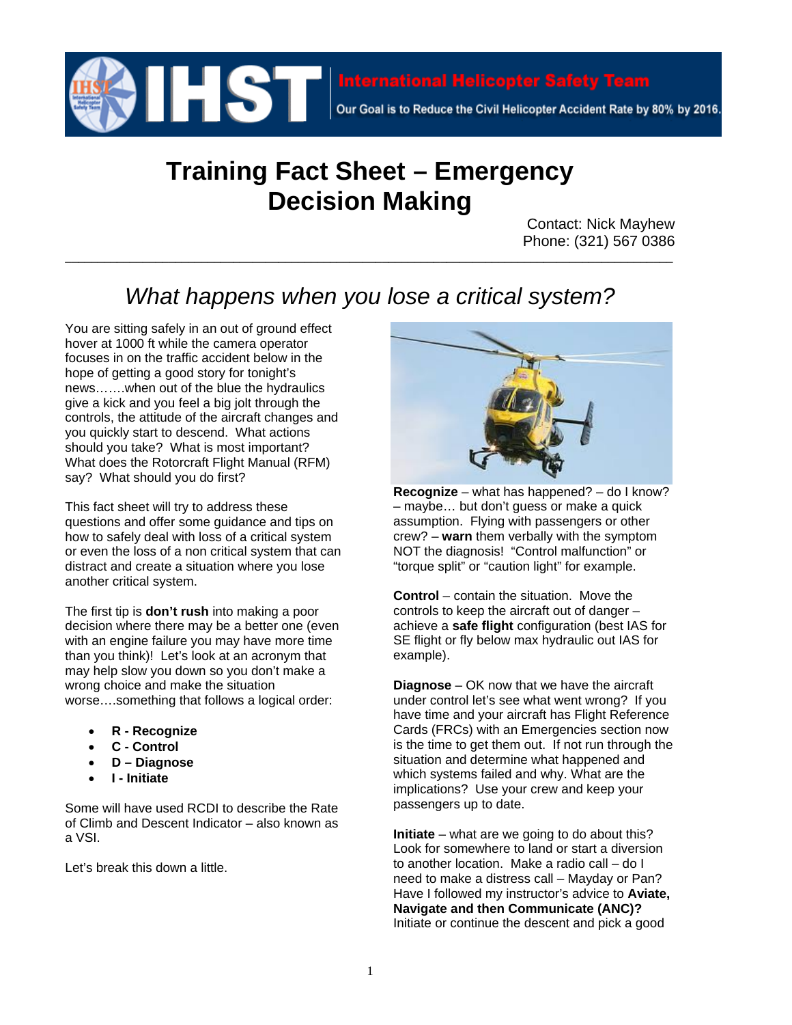

## **Training Fact Sheet – Emergency Decision Making**

Contact: Nick Mayhew Phone: (321) 567 0386

## *What happens when you lose a critical system?*

**\_\_\_\_\_\_\_\_\_\_\_\_\_\_\_\_\_\_\_\_\_\_\_\_\_\_\_\_\_\_\_\_\_\_\_\_\_\_\_\_\_\_\_\_\_\_\_\_\_\_\_\_\_\_\_\_\_\_\_\_\_\_\_\_\_\_\_\_\_\_\_\_\_\_\_\_\_\_\_\_\_\_\_\_\_\_\_\_\_\_\_\_\_\_**

You are sitting safely in an out of ground effect hover at 1000 ft while the camera operator focuses in on the traffic accident below in the hope of getting a good story for tonight's news…….when out of the blue the hydraulics give a kick and you feel a big jolt through the controls, the attitude of the aircraft changes and you quickly start to descend. What actions should you take? What is most important? What does the Rotorcraft Flight Manual (RFM) say? What should you do first?

This fact sheet will try to address these questions and offer some guidance and tips on how to safely deal with loss of a critical system or even the loss of a non critical system that can distract and create a situation where you lose another critical system.

The first tip is **don't rush** into making a poor decision where there may be a better one (even with an engine failure you may have more time than you think)! Let's look at an acronym that may help slow you down so you don't make a wrong choice and make the situation worse….something that follows a logical order:

- **R Recognize**
- **C Control**
- **D Diagnose**
- **I Initiate**

Some will have used RCDI to describe the Rate of Climb and Descent Indicator – also known as a VSI.

Let's break this down a little.



**Recognize** – what has happened? – do I know? – maybe… but don't guess or make a quick assumption. Flying with passengers or other crew? – **warn** them verbally with the symptom NOT the diagnosis! "Control malfunction" or "torque split" or "caution light" for example.

**Control** – contain the situation. Move the controls to keep the aircraft out of danger – achieve a **safe flight** configuration (best IAS for SE flight or fly below max hydraulic out IAS for example).

**Diagnose** – OK now that we have the aircraft under control let's see what went wrong? If you have time and your aircraft has Flight Reference Cards (FRCs) with an Emergencies section now is the time to get them out. If not run through the situation and determine what happened and which systems failed and why. What are the implications? Use your crew and keep your passengers up to date.

**Initiate** – what are we going to do about this? Look for somewhere to land or start a diversion to another location. Make a radio call – do I need to make a distress call – Mayday or Pan? Have I followed my instructor's advice to **Aviate, Navigate and then Communicate (ANC)?** Initiate or continue the descent and pick a good